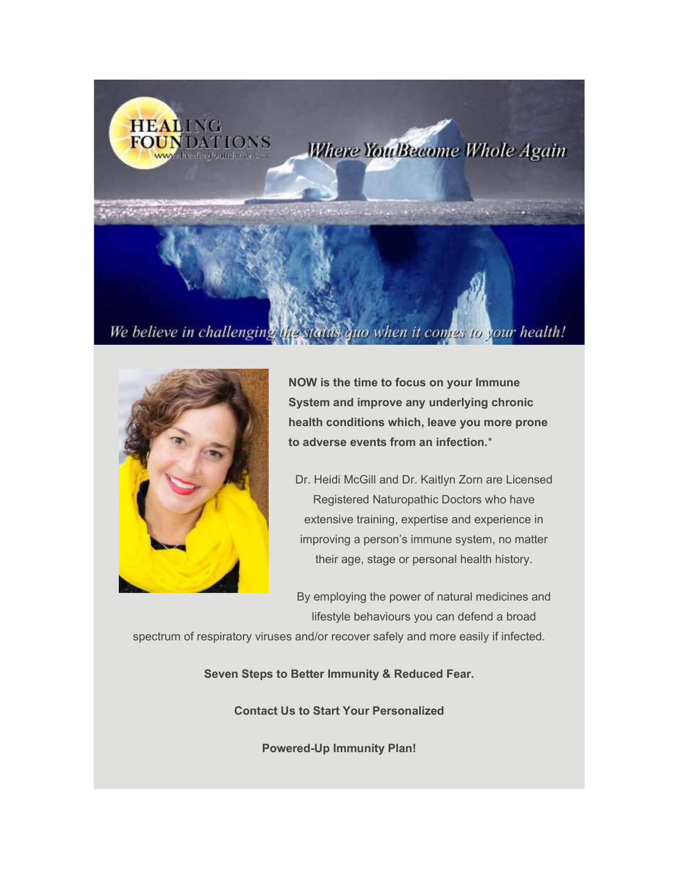



NOW is the time to focus on your Immune System and improve any underlying chronic health conditions which, leave you more prone to adverse events from an infection.\*

Dr. Heidi McGill and Dr. Kaitlyn Zorn are Licensed Registered Naturopathic Doctors who have extensive training, expertise and experience in improving a person's immune system, no matter their age, stage or personal health history.

By employing the power of natural medicines and lifestyle behaviours you can defend a broad

spectrum of respiratory viruses and/or recover safely and more easily if infected.

Seven Steps to Better Immunity & Reduced Fear.

Contact Us to Start Your Personalized

Powered-Up Immunity Plan!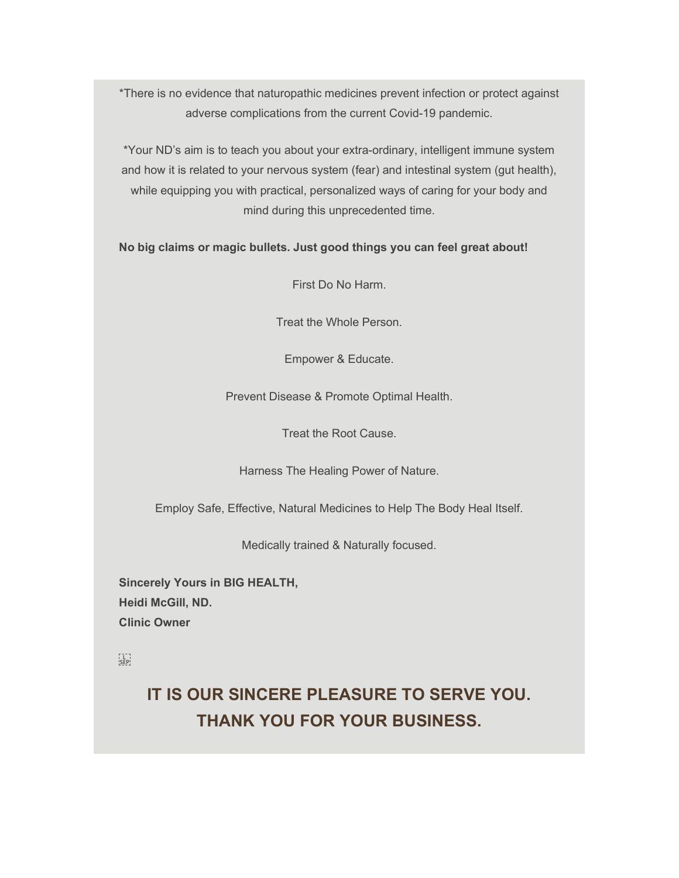\*There is no evidence that naturopathic medicines prevent infection or protect against adverse complications from the current Covid-19 pandemic.

\*Your ND's aim is to teach you about your extra-ordinary, intelligent immune system and how it is related to your nervous system (fear) and intestinal system (gut health), while equipping you with practical, personalized ways of caring for your body and mind during this unprecedented time.

No big claims or magic bullets. Just good things you can feel great about!

First Do No Harm.

Treat the Whole Person.

Empower & Educate.

Prevent Disease & Promote Optimal Health.

Treat the Root Cause.

Harness The Healing Power of Nature.

Employ Safe, Effective, Natural Medicines to Help The Body Heal Itself.

Medically trained & Naturally focused.

Sincerely Yours in BIG HEALTH, Heidi McGill, ND. Clinic Owner

 $\sum_{i=1}^{n}$ 

IT IS OUR SINCERE PLEASURE TO SERVE YOU. THANK YOU FOR YOUR BUSINESS.